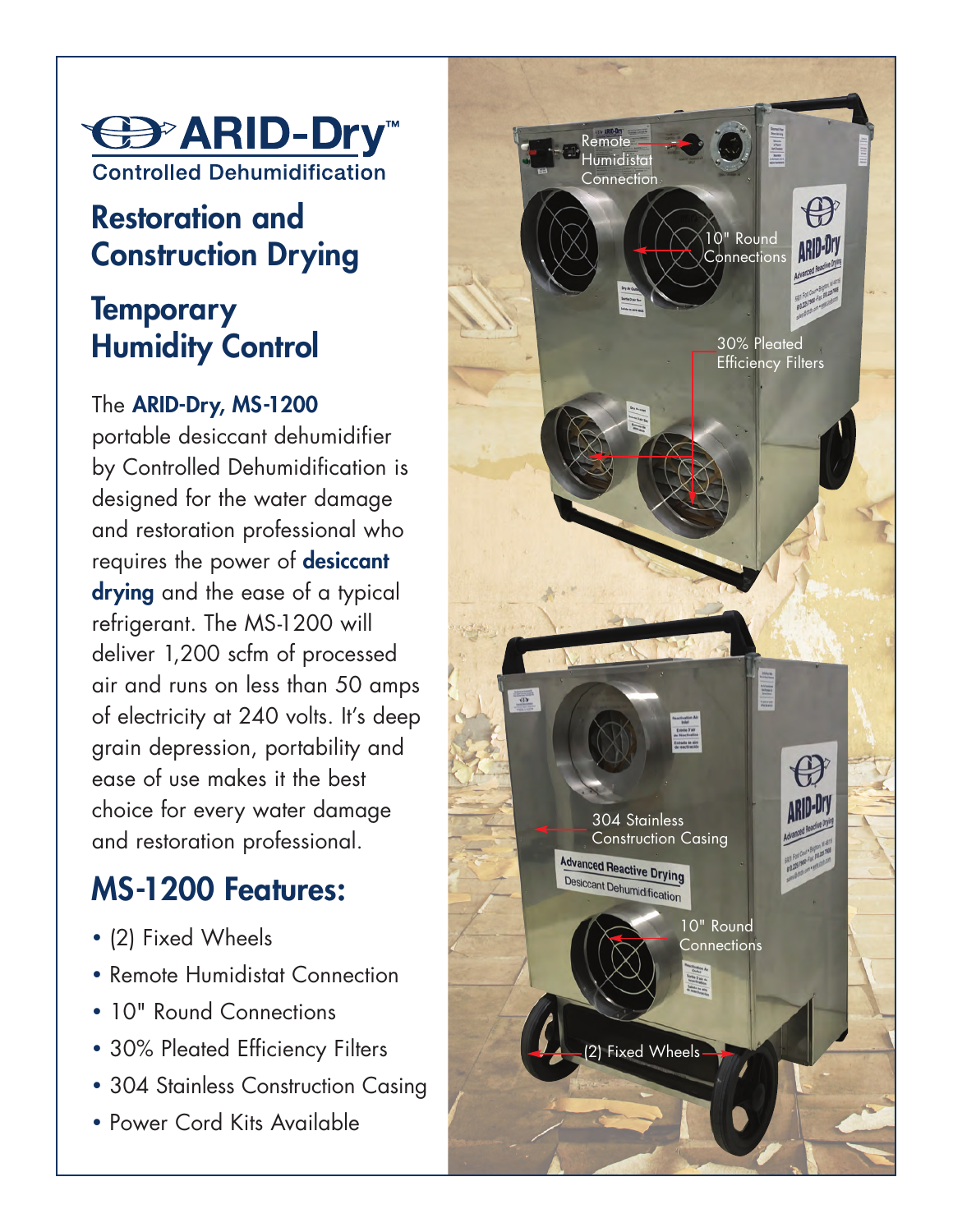

## **Restoration and Construction Drying**

## **Temporary Humidity Control**

#### The **ARID-Dry, MS-1200**

portable desiccant dehumidifier by Controlled Dehumidification is designed for the water damage and restoration professional who requires the power of **desiccant drying** and the ease of a typical refrigerant. The MS-1200 will deliver 1,200 scfm of processed air and runs on less than 50 amps of electricity at 240 volts. It's deep grain depression, portability and ease of use makes it the best choice for every water damage and restoration professional.

# **MS-1200 Features:**

- (2) Fixed Wheels
- Remote Humidistat Connection
- 10" Round Connections
- 30% Pleated Efficiency Filters
- 304 Stainless Construction Casing
- Power Cord Kits Available